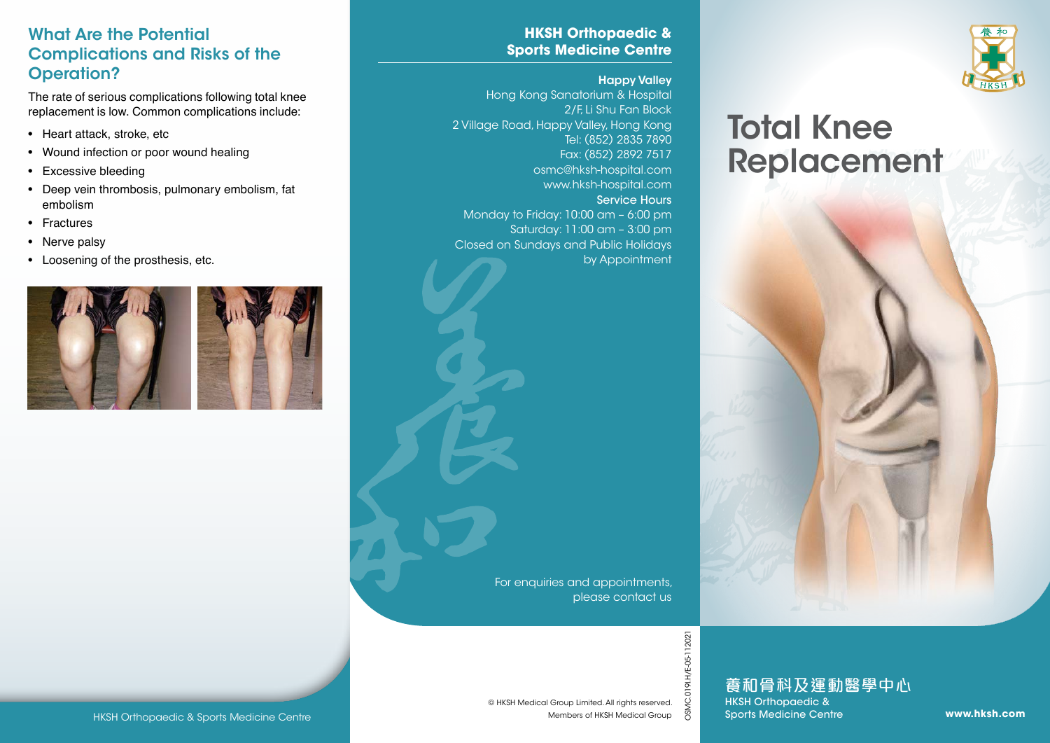#### What Are the Potential Complications and Risks of the Operation?

The rate of serious complications following total knee replacement is low. Common complications include:

- Heart attack, stroke, etc
- Wound infection or poor wound healing
- Excessive bleeding
- Deep vein thrombosis, pulmonary embolism, fat embolism
- Fractures
- Nerve palsy
- Loosening of the prosthesis, etc.



#### **HKSH Orthopaedic & Sports Medicine Centre**

#### Happy Valley

Hong Kong Sanatorium & Hospital 2/F, Li Shu Fan Block 2 Village Road, Happy Valley, Hong Kong Tel: (852) 2835 7890 Fax: (852) 2892 7517 osmc@hksh-hospital.com www.hksh-hospital.com Service Hours Monday to Friday: 10:00 am – 6:00 pm Saturday: 11:00 am – 3:00 pm Closed on Sundays and Public Holidays by Appointment

> For enquiries and appointments, please contact us



# Total Knee Replacement



OSMC.019I.H/E-05-112021

HKSH Orthopaedic & Sports Medicine Centre<br>
MESH Medical Group Limited. All rights reserved.<br>
Members of HKSH Medical Group<br>
Members of HKSH Medical Group & Sports Medicine Centre www.**hksh.com**<br>
Members of HKSH Medical Gr 養和骨科及運動醫學中心 HKSH Orthopaedic &

Sports Medicine Centre

Members of HKSH Medical Group © HKSH Medical Group Limited. All rights reserved.